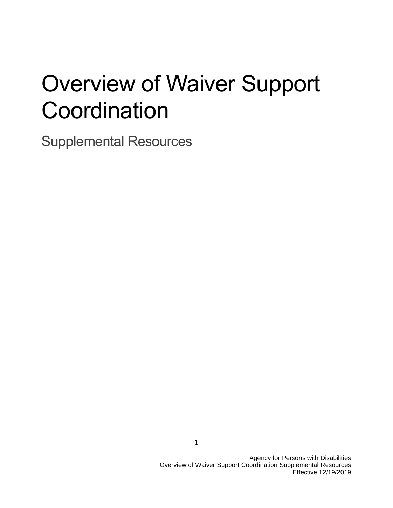# Overview of Waiver Support **Coordination**

Supplemental Resources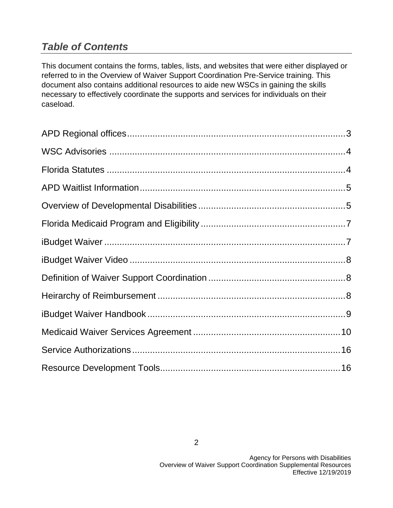# *Table of Contents*

This document contains the forms, tables, lists, and websites that were either displayed or referred to in the Overview of Waiver Support Coordination Pre-Service training. This document also contains additional resources to aide new WSCs in gaining the skills necessary to effectively coordinate the supports and services for individuals on their caseload.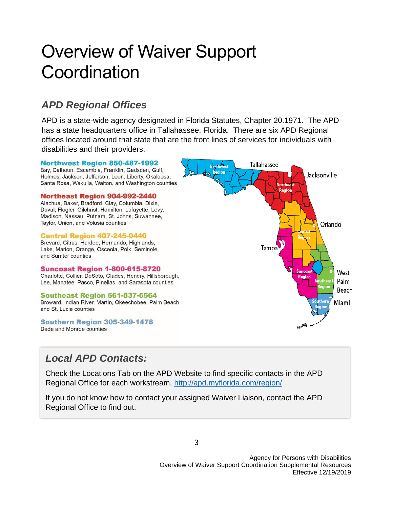# Overview of Waiver Support **Coordination**

# *APD Regional Offices*

APD is a state-wide agency designated in Florida Statutes, Chapter 20.1971. The APD has a state headquarters office in Tallahassee, Florida. There are six APD Regional offices located around that state that are the front lines of services for individuals with disabilities and their providers.

## Northwest Region 850-487-1992

Bay, Calhoun, Escambia, Franklin, Gadsden, Gulf, Holmes, Jackson, Jefferson, Leon, Liberty, Okaloosa, Santa Rosa, Wakulla, Walton, and Washington counties

## Northeast Region 904-992-2440

Alachua, Baker, Bradford, Clay, Columbia, Dixie, Duval, Flagler, Gilchrist, Hamilton, Lafayette, Levy, Madison, Nassau, Putnam, St. Johns, Suwannee, Taylor, Union, and Volusia counties

### **Central Region 407-245-0440**

Brevard, Citrus, Hardee, Hernando, Highlands, Lake, Marion, Orange, Osceola, Polk, Seminole, and Sumter counties

#### **Suncoast Region 1-800-615-8720**

Charlotte, Collier, DeSoto, Glades, Hendry, Hillsborough, Lee, Manatee, Pasco, Pinellas, and Sarasota counties

#### **Southeast Region 561-837-5564**

Broward, Indian River, Martin, Okeechobee, Palm Beach, and St. Lucie counties

#### **Southern Region 305-349-1478** Dade and Monroe counties



# *Local APD Contacts:*

Check the Locations Tab on the APD Website to find specific contacts in the APD Regional Office for each workstream.<http://apd.myflorida.com/region/>

If you do not know how to contact your assigned Waiver Liaison, contact the APD Regional Office to find out.

Agency for Persons with Disabilities Overview of Waiver Support Coordination Supplemental Resources Effective 12/19/2019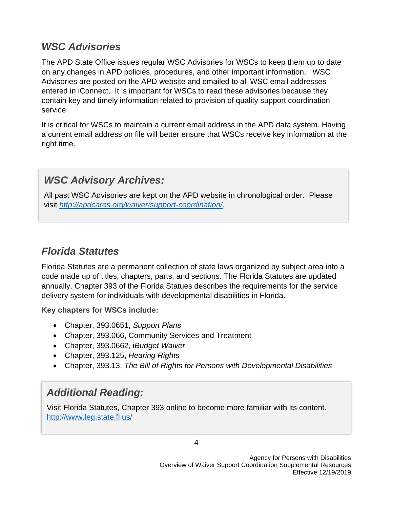# *WSC Advisories*

The APD State Office issues regular WSC Advisories for WSCs to keep them up to date on any changes in APD policies, procedures, and other important information. WSC Advisories are posted on the APD website and emailed to all WSC email addresses entered in iConnect. It is important for WSCs to read these advisories because they contain key and timely information related to provision of quality support coordination service.

It is critical for WSCs to maintain a current email address in the APD data system. Having a current email address on file will better ensure that WSCs receive key information at the right time.

# *WSC Advisory Archives:*

All past WSC Advisories are kept on the APD website in chronological order. Please visit *[http://apdcares.org/waiver/support-coordination/.](http://apdcares.org/waiver/support-coordination/)*

# *Florida Statutes*

Florida Statutes are a permanent collection of state laws organized by subject area into a code made up of titles, chapters, parts, and sections. The Florida Statutes are updated annually. Chapter 393 of the Florida Statues describes the requirements for the service delivery system for individuals with developmental disabilities in Florida.

**Key chapters for WSCs include:**

- Chapter, 393.0651, *Support Plans*
- Chapter, 393.066, Community Services and Treatment
- Chapter, 393.0662, i*Budget Waiver*
- Chapter, 393.125, *Hearing Rights*
- Chapter, 393.13, *The Bill of Rights for Persons with Developmental Disabilities*

# *Additional Reading:*

Visit Florida Statutes, Chapter 393 online to become more familiar with its content. [http://www.leg.state.fl.us/](http://www.leg.state.fl.us/Welcome/index.cfm?CFID=215311&CFTOKEN=61020528)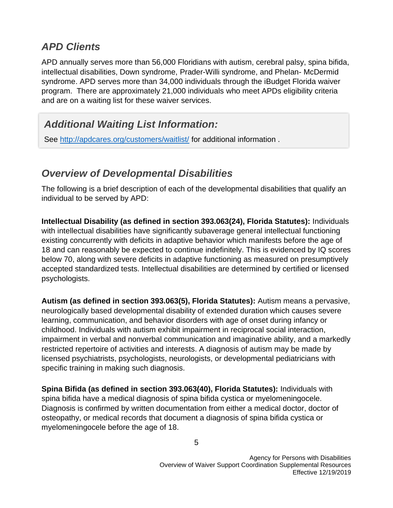# *APD Clients*

APD annually serves more than 56,000 Floridians with autism, cerebral palsy, spina bifida, intellectual disabilities, Down syndrome, Prader-Willi syndrome, and Phelan- McDermid syndrome. APD serves more than 34,000 individuals through the iBudget Florida waiver program. There are approximately 21,000 individuals who meet APDs eligibility criteria and are on a waiting list for these waiver services.

# *Additional Waiting List Information:*

See<http://apdcares.org/customers/waitlist/> for additional information.

# *Overview of Developmental Disabilities*

The following is a brief description of each of the developmental disabilities that qualify an individual to be served by APD:

**Intellectual Disability (as defined in section 393.063(24), Florida Statutes):** Individuals with intellectual disabilities have significantly subaverage general intellectual functioning existing concurrently with deficits in adaptive behavior which manifests before the age of 18 and can reasonably be expected to continue indefinitely. This is evidenced by IQ scores below 70, along with severe deficits in adaptive functioning as measured on presumptively accepted standardized tests. Intellectual disabilities are determined by certified or licensed psychologists.

**Autism (as defined in section 393.063(5), Florida Statutes):** Autism means a pervasive, neurologically based developmental disability of extended duration which causes severe learning, communication, and behavior disorders with age of onset during infancy or childhood. Individuals with autism exhibit impairment in reciprocal social interaction, impairment in verbal and nonverbal communication and imaginative ability, and a markedly restricted repertoire of activities and interests. A diagnosis of autism may be made by licensed psychiatrists, psychologists, neurologists, or developmental pediatricians with specific training in making such diagnosis.

**Spina Bifida (as defined in section 393.063(40), Florida Statutes):** Individuals with spina bifida have a medical diagnosis of spina bifida cystica or myelomeningocele. Diagnosis is confirmed by written documentation from either a medical doctor, doctor of osteopathy, or medical records that document a diagnosis of spina bifida cystica or myelomeningocele before the age of 18.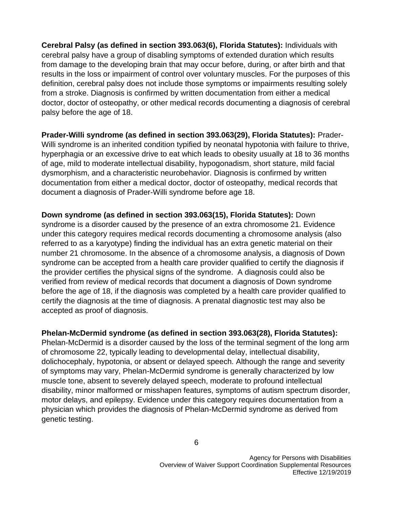**Cerebral Palsy (as defined in section 393.063(6), Florida Statutes):** Individuals with cerebral palsy have a group of disabling symptoms of extended duration which results from damage to the developing brain that may occur before, during, or after birth and that results in the loss or impairment of control over voluntary muscles. For the purposes of this definition, cerebral palsy does not include those symptoms or impairments resulting solely from a stroke. Diagnosis is confirmed by written documentation from either a medical doctor, doctor of osteopathy, or other medical records documenting a diagnosis of cerebral palsy before the age of 18.

**Prader-Willi syndrome (as defined in section 393.063(29), Florida Statutes):** Prader-Willi syndrome is an inherited condition typified by neonatal hypotonia with failure to thrive, hyperphagia or an excessive drive to eat which leads to obesity usually at 18 to 36 months of age, mild to moderate intellectual disability, hypogonadism, short stature, mild facial dysmorphism, and a characteristic neurobehavior. Diagnosis is confirmed by written documentation from either a medical doctor, doctor of osteopathy, medical records that document a diagnosis of Prader-Willi syndrome before age 18.

**Down syndrome (as defined in section 393.063(15), Florida Statutes):** Down syndrome is a disorder caused by the presence of an extra chromosome 21. Evidence under this category requires medical records documenting a chromosome analysis (also referred to as a karyotype) finding the individual has an extra genetic material on their number 21 chromosome. In the absence of a chromosome analysis, a diagnosis of Down syndrome can be accepted from a health care provider qualified to certify the diagnosis if the provider certifies the physical signs of the syndrome. A diagnosis could also be verified from review of medical records that document a diagnosis of Down syndrome before the age of 18, if the diagnosis was completed by a health care provider qualified to certify the diagnosis at the time of diagnosis. A prenatal diagnostic test may also be accepted as proof of diagnosis.

## **Phelan-McDermid syndrome (as defined in section 393.063(28), Florida Statutes):**

Phelan-McDermid is a disorder caused by the loss of the terminal segment of the long arm of chromosome 22, typically leading to developmental delay, intellectual disability, dolichocephaly, hypotonia, or absent or delayed speech. Although the range and severity of symptoms may vary, Phelan-McDermid syndrome is generally characterized by low muscle tone, absent to severely delayed speech, moderate to profound intellectual disability, minor malformed or misshapen features, symptoms of autism spectrum disorder, motor delays, and epilepsy. Evidence under this category requires documentation from a physician which provides the diagnosis of Phelan-McDermid syndrome as derived from genetic testing.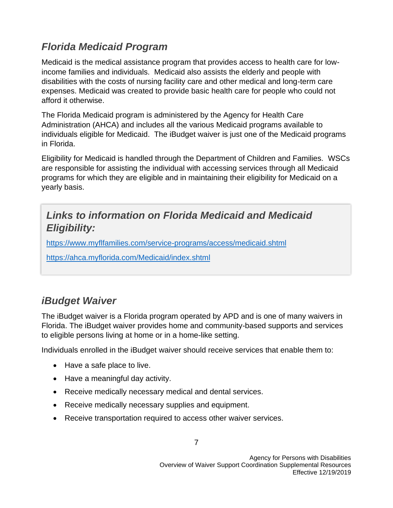# *Florida Medicaid Program*

Medicaid is the medical assistance program that provides access to health care for lowincome families and individuals. Medicaid also assists the elderly and people with disabilities with the costs of nursing facility care and other medical and long-term care expenses. Medicaid was created to provide basic health care for people who could not afford it otherwise.

The Florida Medicaid program is administered by the Agency for Health Care Administration (AHCA) and includes all the various Medicaid programs available to individuals eligible for Medicaid. The iBudget waiver is just one of the Medicaid programs in Florida.

Eligibility for Medicaid is handled through the Department of Children and Families. WSCs are responsible for assisting the individual with accessing services through all Medicaid programs for which they are eligible and in maintaining their eligibility for Medicaid on a yearly basis.

# *Links to information on Florida Medicaid and Medicaid Eligibility:*

<https://www.myflfamilies.com/service-programs/access/medicaid.shtml>

<https://ahca.myflorida.com/Medicaid/index.shtml>

# *iBudget Waiver*

The iBudget waiver is a Florida program operated by APD and is one of many waivers in Florida. The iBudget waiver provides home and community-based supports and services to eligible persons living at home or in a home-like setting.

Individuals enrolled in the iBudget waiver should receive services that enable them to:

- Have a safe place to live.
- Have a meaningful day activity.
- Receive medically necessary medical and dental services.
- Receive medically necessary supplies and equipment.
- Receive transportation required to access other waiver services.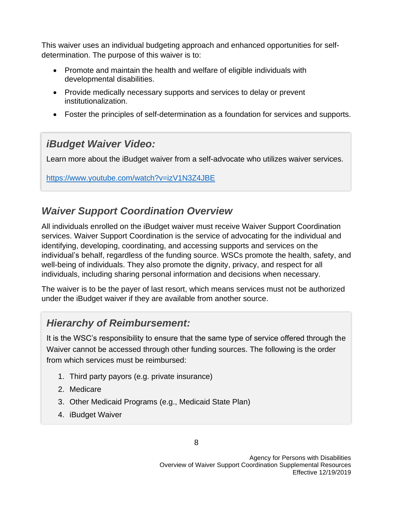This waiver uses an individual budgeting approach and enhanced opportunities for selfdetermination. The purpose of this waiver is to:

- Promote and maintain the health and welfare of eligible individuals with developmental disabilities.
- Provide medically necessary supports and services to delay or prevent institutionalization.
- Foster the principles of self-determination as a foundation for services and supports.

# *iBudget Waiver Video:*

Learn more about the iBudget waiver from a self-advocate who utilizes waiver services.

## <https://www.youtube.com/watch?v=izV1N3Z4JBE>

# *Waiver Support Coordination Overview*

All individuals enrolled on the iBudget waiver must receive Waiver Support Coordination services. Waiver Support Coordination is the service of advocating for the individual and identifying, developing, coordinating, and accessing supports and services on the individual's behalf, regardless of the funding source. WSCs promote the health, safety, and well-being of individuals. They also promote the dignity, privacy, and respect for all individuals, including sharing personal information and decisions when necessary.

The waiver is to be the payer of last resort, which means services must not be authorized under the iBudget waiver if they are available from another source.

# *Hierarchy of Reimbursement:*

It is the WSC's responsibility to ensure that the same type of service offered through the Waiver cannot be accessed through other funding sources. The following is the order from which services must be reimbursed:

- 1. Third party payors (e.g. private insurance)
- 2. Medicare
- 3. Other Medicaid Programs (e.g., Medicaid State Plan)
- 4. iBudget Waiver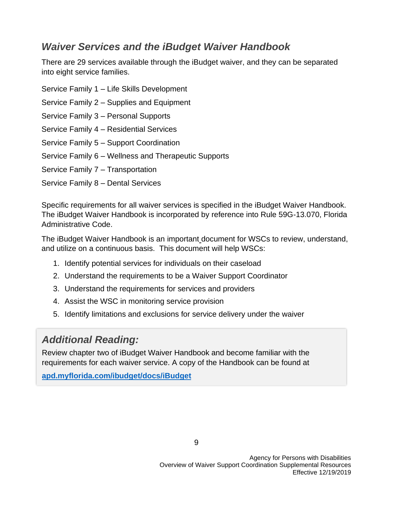# *Waiver Services and the iBudget Waiver Handbook*

There are 29 services available through the iBudget waiver, and they can be separated into eight service families.

Service Family 1 – Life Skills Development Service Family 2 – Supplies and Equipment Service Family 3 – Personal Supports Service Family 4 – Residential Services Service Family 5 – Support Coordination Service Family 6 – Wellness and Therapeutic Supports Service Family 7 – Transportation Service Family 8 – Dental Services

Specific requirements for all waiver services is specified in the iBudget Waiver Handbook. The iBudget Waiver Handbook is incorporated by reference into Rule 59G-13.070, Florida Administrative Code.

The iBudget Waiver Handbook is an important document for WSCs to review, understand, and utilize on a continuous basis. This document will help WSCs:

- 1. Identify potential services for individuals on their caseload
- 2. Understand the requirements to be a Waiver Support Coordinator
- 3. Understand the requirements for services and providers
- 4. Assist the WSC in monitoring service provision
- 5. Identify limitations and exclusions for service delivery under the waiver

# *Additional Reading:*

Review chapter two of iBudget Waiver Handbook and become familiar with the requirements for each waiver service. A copy of the Handbook can be found at

**[apd.myflorida.com/ibudget/docs/iBudget](https://apdfl-my.sharepoint.com/personal/kelli_michels_apdcares_org/Documents/Training%20and%20Research/WSC%20PreService/WSC-Pre-Service-Overview-of-WSC/WSC-OverviewofWSC-Allfiles/apd.myflorida.com/ibudget/docs/iBudget)**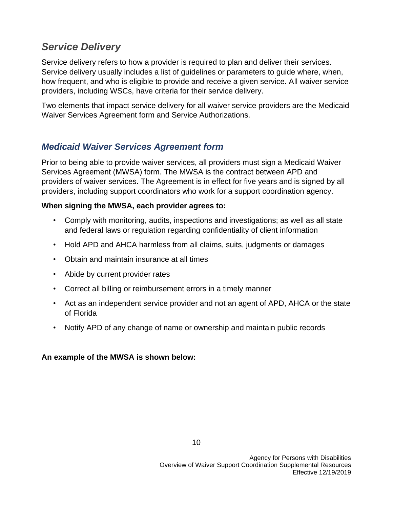# *Service Delivery*

Service delivery refers to how a provider is required to plan and deliver their services. Service delivery usually includes a list of guidelines or parameters to guide where, when, how frequent, and who is eligible to provide and receive a given service. All waiver service providers, including WSCs, have criteria for their service delivery.

Two elements that impact service delivery for all waiver service providers are the Medicaid Waiver Services Agreement form and Service Authorizations.

# *Medicaid Waiver Services Agreement form*

Prior to being able to provide waiver services, all providers must sign a Medicaid Waiver Services Agreement (MWSA) form. The MWSA is the contract between APD and providers of waiver services. The Agreement is in effect for five years and is signed by all providers, including support coordinators who work for a support coordination agency.

## **When signing the MWSA, each provider agrees to:**

- Comply with monitoring, audits, inspections and investigations; as well as all state and federal laws or regulation regarding confidentiality of client information
- Hold APD and AHCA harmless from all claims, suits, judgments or damages
- Obtain and maintain insurance at all times
- Abide by current provider rates
- Correct all billing or reimbursement errors in a timely manner
- Act as an independent service provider and not an agent of APD, AHCA or the state of Florida
- Notify APD of any change of name or ownership and maintain public records

## **An example of the MWSA is shown below:**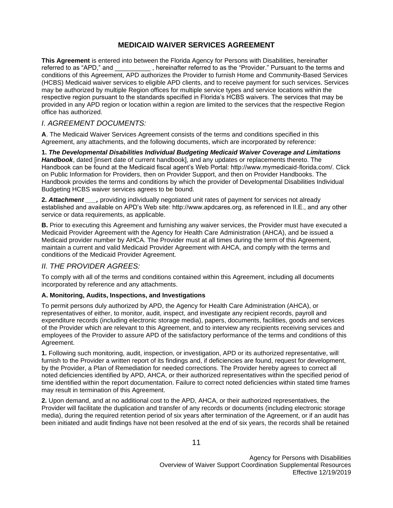## **MEDICAID WAIVER SERVICES AGREEMENT**

**This Agreement** is entered into between the Florida Agency for Persons with Disabilities, hereinafter referred to as "APD," and  $\qquad \qquad$ , hereinafter referred to as the "Provider." Pursuant to the terms and conditions of this Agreement, APD authorizes the Provider to furnish Home and Community-Based Services (HCBS) Medicaid waiver services to eligible APD clients, and to receive payment for such services. Services may be authorized by multiple Region offices for multiple service types and service locations within the respective region pursuant to the standards specified in Florida's HCBS waivers. The services that may be provided in any APD region or location within a region are limited to the services that the respective Region office has authorized.

## *I. AGREEMENT DOCUMENTS:*

**A**. The Medicaid Waiver Services Agreement consists of the terms and conditions specified in this Agreement, any attachments, and the following documents, which are incorporated by reference:

**1.** *The Developmental Disabilities Individual Budgeting Medicaid Waiver Coverage and Limitations Handbook*, dated [insert date of current handbook], and any updates or replacements thereto. The Handbook can be found at the Medicaid fiscal agent's Web Portal: http://www.mymedicaid-florida.com/. Click on Public Information for Providers, then on Provider Support, and then on Provider Handbooks. The Handbook provides the terms and conditions by which the provider of Developmental Disabilities Individual Budgeting HCBS waiver services agrees to be bound.

**2.** *Attachment \_\_\_,* providing individually negotiated unit rates of payment for services not already established and available on APD's Web site: http://www.apdcares.org, as referenced in II.E., and any other service or data requirements, as applicable.

**B.** Prior to executing this Agreement and furnishing any waiver services, the Provider must have executed a Medicaid Provider Agreement with the Agency for Health Care Administration (AHCA), and be issued a Medicaid provider number by AHCA. The Provider must at all times during the term of this Agreement, maintain a current and valid Medicaid Provider Agreement with AHCA, and comply with the terms and conditions of the Medicaid Provider Agreement.

## *II. THE PROVIDER AGREES:*

To comply with all of the terms and conditions contained within this Agreement, including all documents incorporated by reference and any attachments.

## **A. Monitoring, Audits, Inspections, and Investigations**

To permit persons duly authorized by APD, the Agency for Health Care Administration (AHCA), or representatives of either, to monitor, audit, inspect, and investigate any recipient records, payroll and expenditure records (including electronic storage media), papers, documents, facilities, goods and services of the Provider which are relevant to this Agreement, and to interview any recipients receiving services and employees of the Provider to assure APD of the satisfactory performance of the terms and conditions of this Agreement.

**1.** Following such monitoring, audit, inspection, or investigation, APD or its authorized representative, will furnish to the Provider a written report of its findings and, if deficiencies are found, request for development, by the Provider, a Plan of Remediation for needed corrections. The Provider hereby agrees to correct all noted deficiencies identified by APD, AHCA, or their authorized representatives within the specified period of time identified within the report documentation. Failure to correct noted deficiencies within stated time frames may result in termination of this Agreement.

**2.** Upon demand, and at no additional cost to the APD, AHCA, or their authorized representatives, the Provider will facilitate the duplication and transfer of any records or documents (including electronic storage media), during the required retention period of six years after termination of the Agreement, or if an audit has been initiated and audit findings have not been resolved at the end of six years, the records shall be retained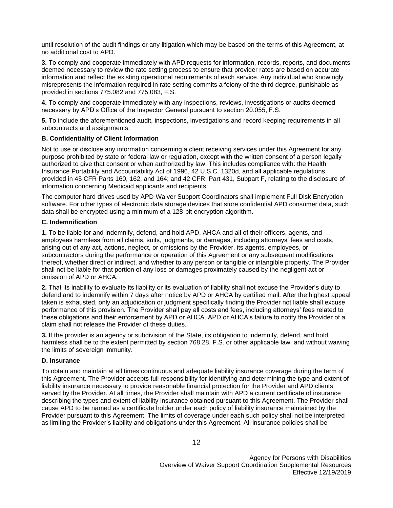until resolution of the audit findings or any litigation which may be based on the terms of this Agreement, at no additional cost to APD.

**3.** To comply and cooperate immediately with APD requests for information, records, reports, and documents deemed necessary to review the rate setting process to ensure that provider rates are based on accurate information and reflect the existing operational requirements of each service. Any individual who knowingly misrepresents the information required in rate setting commits a felony of the third degree, punishable as provided in sections 775.082 and 775.083, F.S.

**4.** To comply and cooperate immediately with any inspections, reviews, investigations or audits deemed necessary by APD's Office of the Inspector General pursuant to section 20.055, F.S.

**5.** To include the aforementioned audit, inspections, investigations and record keeping requirements in all subcontracts and assignments.

### **B. Confidentiality of Client Information**

Not to use or disclose any information concerning a client receiving services under this Agreement for any purpose prohibited by state or federal law or regulation, except with the written consent of a person legally authorized to give that consent or when authorized by law. This includes compliance with: the Health Insurance Portability and Accountability Act of 1996, 42 U.S.C. 1320d, and all applicable regulations provided in 45 CFR Parts 160, 162, and 164; and 42 CFR, Part 431, Subpart F, relating to the disclosure of information concerning Medicaid applicants and recipients.

The computer hard drives used by APD Waiver Support Coordinators shall implement Full Disk Encryption software. For other types of electronic data storage devices that store confidential APD consumer data, such data shall be encrypted using a minimum of a 128-bit encryption algorithm.

### **C. Indemnification**

**1.** To be liable for and indemnify, defend, and hold APD, AHCA and all of their officers, agents, and employees harmless from all claims, suits, judgments, or damages, including attorneys' fees and costs, arising out of any act, actions, neglect, or omissions by the Provider, its agents, employees, or subcontractors during the performance or operation of this Agreement or any subsequent modifications thereof, whether direct or indirect, and whether to any person or tangible or intangible property. The Provider shall not be liable for that portion of any loss or damages proximately caused by the negligent act or omission of APD or AHCA.

**2.** That its inability to evaluate its liability or its evaluation of liability shall not excuse the Provider's duty to defend and to indemnify within 7 days after notice by APD or AHCA by certified mail. After the highest appeal taken is exhausted, only an adjudication or judgment specifically finding the Provider not liable shall excuse performance of this provision. The Provider shall pay all costs and fees, including attorneys' fees related to these obligations and their enforcement by APD or AHCA. APD or AHCA's failure to notify the Provider of a claim shall not release the Provider of these duties.

**3.** If the provider is an agency or subdivision of the State, its obligation to indemnify, defend, and hold harmless shall be to the extent permitted by section 768.28, F.S. or other applicable law, and without waiving the limits of sovereign immunity.

#### **D. Insurance**

To obtain and maintain at all times continuous and adequate liability insurance coverage during the term of this Agreement. The Provider accepts full responsibility for identifying and determining the type and extent of liability insurance necessary to provide reasonable financial protection for the Provider and APD clients served by the Provider. At all times, the Provider shall maintain with APD a current certificate of insurance describing the types and extent of liability insurance obtained pursuant to this Agreement. The Provider shall cause APD to be named as a certificate holder under each policy of liability insurance maintained by the Provider pursuant to this Agreement. The limits of coverage under each such policy shall not be interpreted as limiting the Provider's liability and obligations under this Agreement. All insurance policies shall be

Agency for Persons with Disabilities Overview of Waiver Support Coordination Supplemental Resources Effective 12/19/2019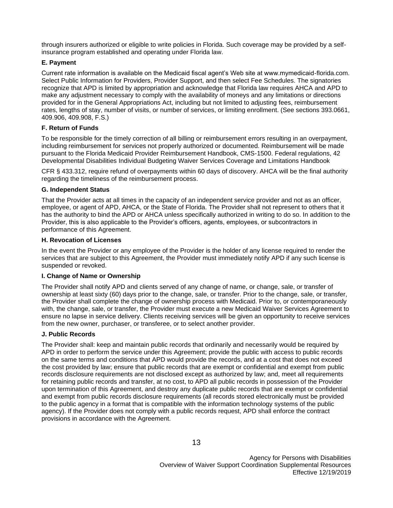through insurers authorized or eligible to write policies in Florida. Such coverage may be provided by a selfinsurance program established and operating under Florida law.

## **E. Payment**

Current rate information is available on the Medicaid fiscal agent's Web site at www.mymedicaid-florida.com. Select Public Information for Providers, Provider Support, and then select Fee Schedules. The signatories recognize that APD is limited by appropriation and acknowledge that Florida law requires AHCA and APD to make any adjustment necessary to comply with the availability of moneys and any limitations or directions provided for in the General Appropriations Act, including but not limited to adjusting fees, reimbursement rates, lengths of stay, number of visits, or number of services, or limiting enrollment. (See sections 393.0661, 409.906, 409.908, F.S.)

## **F. Return of Funds**

To be responsible for the timely correction of all billing or reimbursement errors resulting in an overpayment, including reimbursement for services not properly authorized or documented. Reimbursement will be made pursuant to the Florida Medicaid Provider Reimbursement Handbook, CMS-1500. Federal regulations, 42 Developmental Disabilities Individual Budgeting Waiver Services Coverage and Limitations Handbook

CFR § 433.312, require refund of overpayments within 60 days of discovery. AHCA will be the final authority regarding the timeliness of the reimbursement process.

## **G. Independent Status**

That the Provider acts at all times in the capacity of an independent service provider and not as an officer, employee, or agent of APD, AHCA, or the State of Florida. The Provider shall not represent to others that it has the authority to bind the APD or AHCA unless specifically authorized in writing to do so. In addition to the Provider, this is also applicable to the Provider's officers, agents, employees, or subcontractors in performance of this Agreement.

## **H. Revocation of Licenses**

In the event the Provider or any employee of the Provider is the holder of any license required to render the services that are subject to this Agreement, the Provider must immediately notify APD if any such license is suspended or revoked.

## **I. Change of Name or Ownership**

The Provider shall notify APD and clients served of any change of name, or change, sale, or transfer of ownership at least sixty (60) days prior to the change, sale, or transfer. Prior to the change, sale, or transfer, the Provider shall complete the change of ownership process with Medicaid. Prior to, or contemporaneously with, the change, sale, or transfer, the Provider must execute a new Medicaid Waiver Services Agreement to ensure no lapse in service delivery. Clients receiving services will be given an opportunity to receive services from the new owner, purchaser, or transferee, or to select another provider.

## **J. Public Records**

The Provider shall: keep and maintain public records that ordinarily and necessarily would be required by APD in order to perform the service under this Agreement; provide the public with access to public records on the same terms and conditions that APD would provide the records, and at a cost that does not exceed the cost provided by law; ensure that public records that are exempt or confidential and exempt from public records disclosure requirements are not disclosed except as authorized by law; and, meet all requirements for retaining public records and transfer, at no cost, to APD all public records in possession of the Provider upon termination of this Agreement, and destroy any duplicate public records that are exempt or confidential and exempt from public records disclosure requirements (all records stored electronically must be provided to the public agency in a format that is compatible with the information technology systems of the public agency). If the Provider does not comply with a public records request, APD shall enforce the contract provisions in accordance with the Agreement.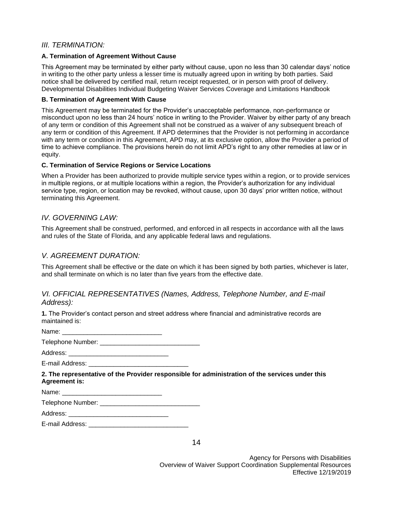## *III. TERMINATION:*

#### **A. Termination of Agreement Without Cause**

This Agreement may be terminated by either party without cause, upon no less than 30 calendar days' notice in writing to the other party unless a lesser time is mutually agreed upon in writing by both parties. Said notice shall be delivered by certified mail, return receipt requested, or in person with proof of delivery. Developmental Disabilities Individual Budgeting Waiver Services Coverage and Limitations Handbook

#### **B. Termination of Agreement With Cause**

This Agreement may be terminated for the Provider's unacceptable performance, non-performance or misconduct upon no less than 24 hours' notice in writing to the Provider. Waiver by either party of any breach of any term or condition of this Agreement shall not be construed as a waiver of any subsequent breach of any term or condition of this Agreement. If APD determines that the Provider is not performing in accordance with any term or condition in this Agreement, APD may, at its exclusive option, allow the Provider a period of time to achieve compliance. The provisions herein do not limit APD's right to any other remedies at law or in equity.

### **C. Termination of Service Regions or Service Locations**

When a Provider has been authorized to provide multiple service types within a region, or to provide services in multiple regions, or at multiple locations within a region, the Provider's authorization for any individual service type, region, or location may be revoked, without cause, upon 30 days' prior written notice, without terminating this Agreement.

## *IV. GOVERNING LAW:*

This Agreement shall be construed, performed, and enforced in all respects in accordance with all the laws and rules of the State of Florida, and any applicable federal laws and regulations.

## *V. AGREEMENT DURATION:*

This Agreement shall be effective or the date on which it has been signed by both parties, whichever is later, and shall terminate on which is no later than five years from the effective date.

## *VI. OFFICIAL REPRESENTATIVES (Names, Address, Telephone Number, and E-mail Address):*

**1.** The Provider's contact person and street address where financial and administrative records are maintained is:

Name:

| Telephone Number: |  |
|-------------------|--|
|-------------------|--|

Address: \_\_\_\_\_\_\_\_

E-mail Address:

#### **2. The representative of the Provider responsible for administration of the services under this Agreement is:**

| Name:               |  |
|---------------------|--|
| Telephone Number: _ |  |
| Address:            |  |

E-mail Address: \_\_\_\_\_\_\_\_\_\_\_\_\_\_\_\_\_\_\_\_\_\_\_\_\_\_\_\_

14

Agency for Persons with Disabilities Overview of Waiver Support Coordination Supplemental Resources Effective 12/19/2019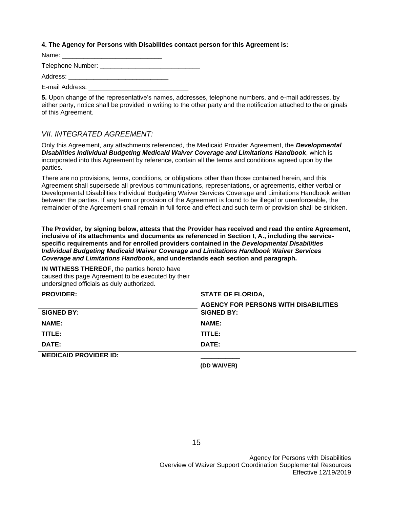### **4. The Agency for Persons with Disabilities contact person for this Agreement is:**

Name: Telephone Number: Address: E-mail Address: \_\_\_

**5.** Upon change of the representative's names, addresses, telephone numbers, and e-mail addresses, by either party, notice shall be provided in writing to the other party and the notification attached to the originals of this Agreement.

## *VII. INTEGRATED AGREEMENT:*

Only this Agreement, any attachments referenced, the Medicaid Provider Agreement, the *Developmental Disabilities Individual Budgeting Medicaid Waiver Coverage and Limitations Handbook*, which is incorporated into this Agreement by reference, contain all the terms and conditions agreed upon by the parties.

There are no provisions, terms, conditions, or obligations other than those contained herein, and this Agreement shall supersede all previous communications, representations, or agreements, either verbal or Developmental Disabilities Individual Budgeting Waiver Services Coverage and Limitations Handbook written between the parties. If any term or provision of the Agreement is found to be illegal or unenforceable, the remainder of the Agreement shall remain in full force and effect and such term or provision shall be stricken.

**The Provider, by signing below, attests that the Provider has received and read the entire Agreement, inclusive of its attachments and documents as referenced in Section I, A., including the servicespecific requirements and for enrolled providers contained in the** *Developmental Disabilities Individual Budgeting Medicaid Waiver Coverage and Limitations Handbook Waiver Services Coverage and Limitations Handbook***, and understands each section and paragraph.** 

**IN WITNESS THEREOF,** the parties hereto have caused this page Agreement to be executed by their undersigned officials as duly authorized.

| <b>PROVIDER:</b>             | <b>STATE OF FLORIDA,</b>                                         |
|------------------------------|------------------------------------------------------------------|
| <b>SIGNED BY:</b>            | <b>AGENCY FOR PERSONS WITH DISABILITIES</b><br><b>SIGNED BY:</b> |
| <b>NAME:</b>                 | <b>NAME:</b>                                                     |
| TITLE:                       | TITLE:                                                           |
| DATE:                        | DATE:                                                            |
| <b>MEDICAID PROVIDER ID:</b> |                                                                  |
|                              | (DD WAIVER)                                                      |